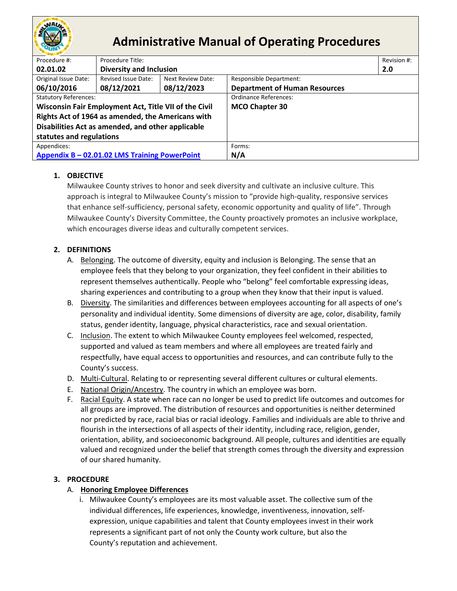

# **Administrative Manual of Operating Procedures**

| Procedure #:                                          | Procedure Title:<br>Revision #: |                   |                                      |     |  |
|-------------------------------------------------------|---------------------------------|-------------------|--------------------------------------|-----|--|
| 02.01.02                                              | <b>Diversity and Inclusion</b>  |                   |                                      | 2.0 |  |
| Original Issue Date:                                  | Revised Issue Date:             | Next Review Date: | <b>Responsible Department:</b>       |     |  |
| 06/10/2016                                            | 08/12/2021                      | 08/12/2023        | <b>Department of Human Resources</b> |     |  |
| <b>Statutory References:</b>                          |                                 |                   | <b>Ordinance References:</b>         |     |  |
| Wisconsin Fair Employment Act, Title VII of the Civil |                                 |                   | <b>MCO Chapter 30</b>                |     |  |
| Rights Act of 1964 as amended, the Americans with     |                                 |                   |                                      |     |  |
| Disabilities Act as amended, and other applicable     |                                 |                   |                                      |     |  |
| statutes and regulations                              |                                 |                   |                                      |     |  |
| Appendices:                                           |                                 | Forms:            |                                      |     |  |
| Appendix B - 02.01.02 LMS Training PowerPoint         |                                 | N/A               |                                      |     |  |

## **1. OBJECTIVE**

Milwaukee County strives to honor and seek diversity and cultivate an inclusive culture. This approach is integral to Milwaukee County's mission to "provide high-quality, responsive services that enhance self-sufficiency, personal safety, economic opportunity and quality of life". Through Milwaukee County's Diversity Committee, the County proactively promotes an inclusive workplace, which encourages diverse ideas and culturally competent services.

## **2. DEFINITIONS**

- A. Belonging. The outcome of diversity, equity and inclusion is Belonging. The sense that an employee feels that they belong to your organization, they feel confident in their abilities to represent themselves authentically. People who "belong" feel comfortable expressing ideas, sharing experiences and contributing to a group when they know that their input is valued.
- B. Diversity. The similarities and differences between employees accounting for all aspects of one's personality and individual identity. Some dimensions of diversity are age, color, disability, family status, gender identity, language, physical characteristics, race and sexual orientation.
- C. Inclusion. The extent to which Milwaukee County employees feel welcomed, respected, supported and valued as team members and where all employees are treated fairly and respectfully, have equal access to opportunities and resources, and can contribute fully to the County's success.
- D. Multi-Cultural. Relating to or representing several different cultures or cultural elements.
- E. National Origin/Ancestry. The country in which an employee was born.
- F. Racial Equity. A state when race can no longer be used to predict life outcomes and outcomes for all groups are improved. The distribution of resources and opportunities is neither determined nor predicted by race, racial bias or racial ideology. Families and individuals are able to thrive and flourish in the intersections of all aspects of their identity, including race, religion, gender, orientation, ability, and socioeconomic background. All people, cultures and identities are equally valued and recognized under the belief that strength comes through the diversity and expression of our shared humanity.

## **3. PROCEDURE**

## A. **Honoring Employee Differences**

i. Milwaukee County's employees are its most valuable asset. The collective sum of the individual differences, life experiences, knowledge, inventiveness, innovation, selfexpression, unique capabilities and talent that County employees invest in their work represents a significant part of not only the County work culture, but also the County's reputation and achievement.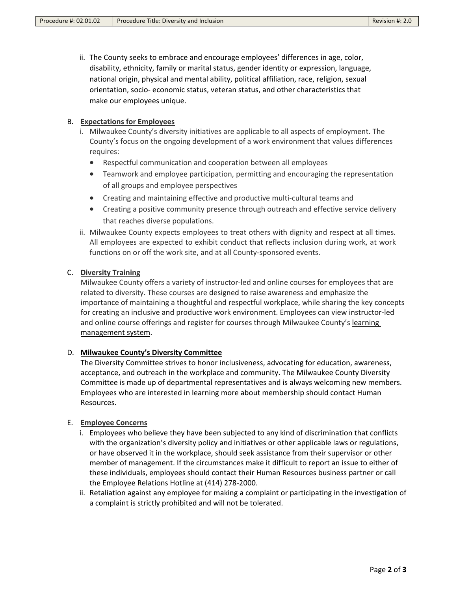ii. The County seeks to embrace and encourage employees' differences in age, color, disability, ethnicity, family or marital status, gender identity or expression, language, national origin, physical and mental ability, political affiliation, race, religion, sexual orientation, socio- economic status, veteran status, and other characteristics that make our employees unique.

#### B. **Expectations for Employees**

- i. Milwaukee County's diversity initiatives are applicable to all aspects of employment. The County's focus on the ongoing development of a work environment that values differences requires:
	- Respectful communication and cooperation between all employees
	- Teamwork and employee participation, permitting and encouraging the representation of all groups and employee perspectives
	- Creating and maintaining effective and productive multi-cultural teams and
	- Creating a positive community presence through outreach and effective service delivery that reaches diverse populations.
- ii. Milwaukee County expects employees to treat others with dignity and respect at all times. All employees are expected to exhibit conduct that reflects inclusion during work, at work functions on or off the work site, and at all County-sponsored events.

#### C. **Diversity Training**

Milwaukee County offers a variety of instructor-led and online courses for employees that are related to diversity. These courses are designed to raise awareness and emphasize the importance of maintaining a thoughtful and respectful workplace, while sharing the key concepts for creating an inclusive and productive work environment. Employees can view instructor-led and online course offerings and register for courses through Milwaukee County's learning [management system.](https://us60.dayforcehcm.com/MyDayforce/u/jgPdbI0WYEuBIPI1qoDTtQ/Common/#TGVhcm5pbmc%3D)

### D. **[Milwaukee County's Diversity Committee](http://county.milwaukee.gov/HumanResources/Diversity-Committee.htm)**

The Diversity Committee strives to honor inclusiveness, advocating for education, awareness, acceptance, and outreach in the workplace and community. The Milwaukee County Diversity Committee is made up of departmental representatives and is always welcoming new members. Employees who are interested in learning more about membership should contact Human Resources.

#### E. **Employee Concerns**

- i. Employees who believe they have been subjected to any kind of discrimination that conflicts with the organization's diversity policy and initiatives or other applicable laws or regulations, or have observed it in the workplace, should seek assistance from their supervisor or other member of management. If the circumstances make it difficult to report an issue to either of these individuals, employees should contact their Human Resources business partner or call the Employee Relations Hotline at (414) 278-2000.
- ii. Retaliation against any employee for making a complaint or participating in the investigation of a complaint is strictly prohibited and will not be tolerated.